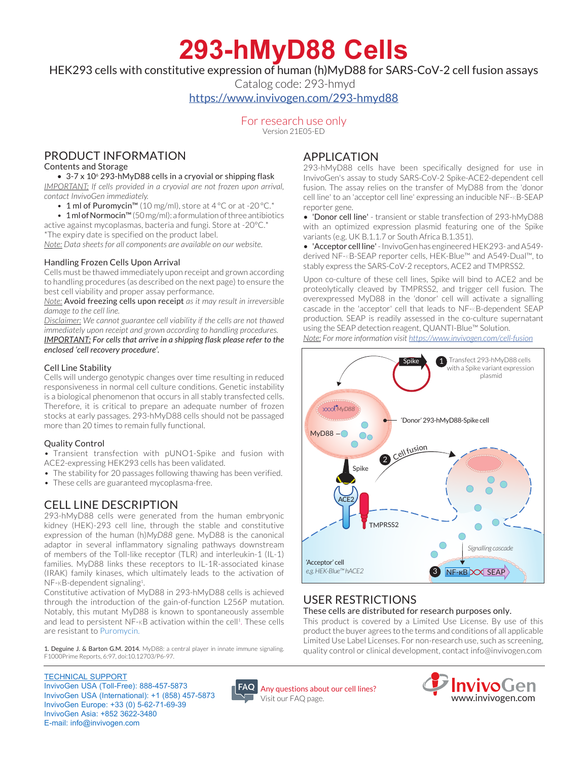# **293-hMyD88 Cells**

HEK293 cells with constitutive expression of human (h)MyD88 for SARS-CoV-2 cell fusion assays

Catalog code: 293-hmyd

https://www.invivogen.com/293-hmyd88

# For research use only

Version 21E05-ED

# PRODUCT INFORMATION

Contents and Storage

## $\bullet$  3-7 x 10<sup>6</sup> 293-hMyD88 cells in a cryovial or shipping flask

*IMPORTANT: If cells provided in a cryovial are not frozen upon arrival, contact InvivoGen immediately.*

- 1 ml of Puromycin<sup>™</sup> (10 mg/ml), store at 4 °C or at -20 °C.\*
- 1 ml of Normocin™ (50 mg/ml): a formulation of three antibiotics active against mycoplasmas, bacteria and fungi. Store at -20°C.\* \*The expiry date is specified on the product label.

*Note: Data sheets for all components are available on our website.*

## Handling Frozen Cells Upon Arrival

Cells must be thawed immediately upon receipt and grown according to handling procedures (as described on the next page) to ensure the best cell viability and proper assay performance.

*Note:* Avoid freezing cells upon receipt *as it may result in irreversible damage to the cell line.*

*Disclaimer: We cannot guarantee cell viability if the cells are not thawed immediately upon receipt and grown according to handling procedures. IMPORTANT: For cells that arrive in a shipping flask please refer to the* 

*enclosed 'cell recovery procedure'.*

## Cell Line Stability

Cells will undergo genotypic changes over time resulting in reduced responsiveness in normal cell culture conditions. Genetic instability is a biological phenomenon that occurs in all stably transfected cells. Therefore, it is critical to prepare an adequate number of frozen stocks at early passages. 293-hMyD88 cells should not be passaged more than 20 times to remain fully functional.

## Quality Control

• Transient transfection with pUNO1-Spike and fusion with ACE2‑expressing HEK293 cells has been validated.

- The stability for 20 passages following thawing has been verified.
- These cells are guaranteed mycoplasma-free.

# CELL LINE DESCRIPTION

293-hMyD88 cells were generated from the human embryonic kidney (HEK)-293 cell line, through the stable and constitutive expression of the human (h)*MyD88* gene. MyD88 is the canonical adaptor in several inflammatory signaling pathways downstream of members of the Toll-like receptor (TLR) and interleukin-1 (IL-1) families. MyD88 links these receptors to IL-1R-associated kinase (IRAK) family kinases, which ultimately leads to the activation of NF-<sub>K</sub>B-dependent signaling<sup>1</sup>.

Constitutive activation of MyD88 in 293-hMyD88 cells is achieved through the introduction of the gain-of-function L256P mutation. Notably, this mutant MyD88 is known to spontaneously assemble and lead to persistent NF-KB activation within the cell<sup>1</sup>. These cells are resistant to Puromycin.

1. Deguine J. & Barton G.M. 2014. MyD88: a central player in innate immune signaling. F1000Prime Reports, 6:97, doi:10.12703/P6-97.

# APPLICATION

293-hMyD88 cells have been specifically designed for use in InvivoGen's assay to study SARS‑CoV-2 Spike-ACE2-dependent cell fusion. The assay relies on the transfer of MyD88 from the 'donor cell line' to an 'acceptor cell line' expressing an inducible NF-ĸB-SEAP reporter gene.

• 'Donor cell line' - transient or stable transfection of 293-hMyD88 with an optimized expression plasmid featuring one of the Spike variants (e.g. UK B.1.1.7 or South Africa B.1.351).

• 'Acceptor cell line' - InvivoGen has engineered HEK293- and A549 derived NF-ĸB-SEAP reporter cells, HEK-Blue™ and A549-Dual™, to stably express the SARS-CoV-2 receptors, ACE2 and TMPRSS2.

Upon co-culture of these cell lines, Spike will bind to ACE2 and be proteolytically cleaved by TMPRSS2, and trigger cell fusion. The overexpressed MyD88 in the 'donor' cell will activate a signalling cascade in the 'acceptor' cell that leads to NF-ĸB-dependent SEAP production. SEAP is readily assessed in the co-culture supernatant using the SEAP detection reagent, QUANTI-Blue™ Solution.

*Note: For more information visit https://www.invivogen.com/cell-fusion*



#### USER RESTRICTIONS These cells are distributed for research purposes only.

This product is covered by a Limited Use License. By use of this product the buyer agrees to the terms and conditions of all applicable Limited Use Label Licenses. For non-research use, such as screening, quality control or clinical development, contact info@invivogen.com

TECHNICAL SUPPORT InvivoGen USA (Toll‑Free): 888-457-5873 InvivoGen USA (International): +1 (858) 457-5873 InvivoGen Europe: +33 (0) 5-62-71-69-39 InvivoGen Asia: +852 3622-3480 E-mail: info@invivogen.com